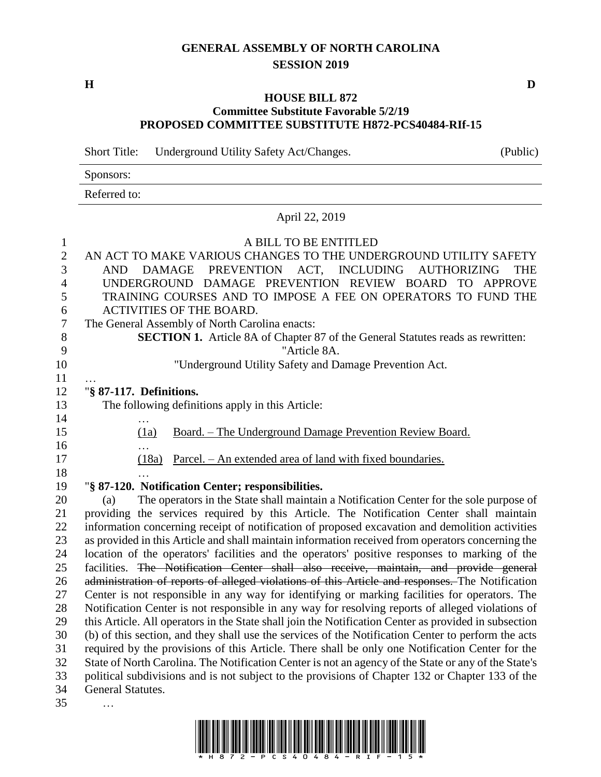## **GENERAL ASSEMBLY OF NORTH CAROLINA SESSION 2019**

**H D**

### **HOUSE BILL 872 Committee Substitute Favorable 5/2/19 PROPOSED COMMITTEE SUBSTITUTE H872-PCS40484-RIf-15**

Short Title: Underground Utility Safety Act/Changes. (Public)

|              | C |  | ֊ |  |
|--------------|---|--|---|--|
| Sponsors:    |   |  |   |  |
| Referred to: |   |  |   |  |

# April 22, 2019

### A BILL TO BE ENTITLED

| $\sqrt{2}$       | AN ACT TO MAKE VARIOUS CHANGES TO THE UNDERGROUND UTILITY SAFETY                                      |
|------------------|-------------------------------------------------------------------------------------------------------|
| 3                | DAMAGE PREVENTION ACT, INCLUDING<br><b>AUTHORIZING</b><br>AND<br><b>THE</b>                           |
| $\overline{4}$   | UNDERGROUND DAMAGE PREVENTION REVIEW BOARD TO APPROVE                                                 |
| 5                | TRAINING COURSES AND TO IMPOSE A FEE ON OPERATORS TO FUND THE                                         |
| 6                | <b>ACTIVITIES OF THE BOARD.</b>                                                                       |
| $\boldsymbol{7}$ | The General Assembly of North Carolina enacts:                                                        |
| $8\,$            | <b>SECTION 1.</b> Article 8A of Chapter 87 of the General Statutes reads as rewritten:                |
| 9                | "Article 8A.                                                                                          |
| 10               | "Underground Utility Safety and Damage Prevention Act.                                                |
| 11               |                                                                                                       |
| 12               | "§ 87-117. Definitions.                                                                               |
| 13               | The following definitions apply in this Article:                                                      |
| 14               | $\ddotsc$                                                                                             |
| 15               | Board. – The Underground Damage Prevention Review Board.<br>(1a)                                      |
| 16               |                                                                                                       |
| 17               | Parcel. – An extended area of land with fixed boundaries.<br>(18a)                                    |
| 18               |                                                                                                       |
| 19               | "§ 87-120. Notification Center; responsibilities.                                                     |
| 20               | The operators in the State shall maintain a Notification Center for the sole purpose of<br>(a)        |
| 21               | providing the services required by this Article. The Notification Center shall maintain               |
| 22               | information concerning receipt of notification of proposed excavation and demolition activities       |
| 23               | as provided in this Article and shall maintain information received from operators concerning the     |
| 24               | location of the operators' facilities and the operators' positive responses to marking of the         |
| 25               | facilities. The Notification Center shall also receive, maintain, and provide general                 |
| 26               | administration of reports of alleged violations of this Article and responses. The Notification       |
| 27               | Center is not responsible in any way for identifying or marking facilities for operators. The         |
| 28               | Notification Center is not responsible in any way for resolving reports of alleged violations of      |
| 29               | this Article. All operators in the State shall join the Notification Center as provided in subsection |
| 30               | (b) of this section, and they shall use the services of the Notification Center to perform the acts   |
| 31               | required by the provisions of this Article. There shall be only one Notification Center for the       |
| 32               | State of North Carolina. The Notification Center is not an agency of the State or any of the State's  |
| 33               | political subdivisions and is not subject to the provisions of Chapter 132 or Chapter 133 of the      |
| 34               | <b>General Statutes.</b>                                                                              |
| 35               | $\cdots$                                                                                              |

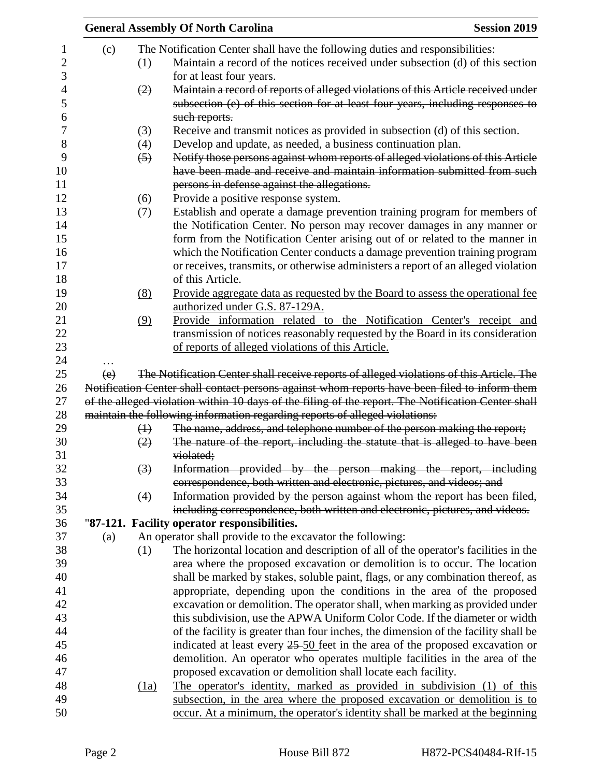|     |                   | <b>General Assembly Of North Carolina</b>                                                                                                                   | <b>Session 2019</b> |
|-----|-------------------|-------------------------------------------------------------------------------------------------------------------------------------------------------------|---------------------|
| (c) |                   | The Notification Center shall have the following duties and responsibilities:                                                                               |                     |
|     | (1)               | Maintain a record of the notices received under subsection (d) of this section<br>for at least four years.                                                  |                     |
|     | (2)               | Maintain a record of reports of alleged violations of this Article received under                                                                           |                     |
|     |                   | subsection (e) of this section for at least four years, including responses to<br>such reports.                                                             |                     |
|     | (3)               | Receive and transmit notices as provided in subsection (d) of this section.                                                                                 |                     |
|     | (4)               | Develop and update, as needed, a business continuation plan.                                                                                                |                     |
|     | $\left(5\right)$  | Notify those persons against whom reports of alleged violations of this Article                                                                             |                     |
|     |                   | have been made and receive and maintain information submitted from such                                                                                     |                     |
|     |                   | persons in defense against the allegations.                                                                                                                 |                     |
|     | (6)               | Provide a positive response system.                                                                                                                         |                     |
|     | (7)               | Establish and operate a damage prevention training program for members of<br>the Notification Center. No person may recover damages in any manner or        |                     |
|     |                   | form from the Notification Center arising out of or related to the manner in<br>which the Notification Center conducts a damage prevention training program |                     |
|     |                   | or receives, transmits, or otherwise administers a report of an alleged violation                                                                           |                     |
|     |                   | of this Article.                                                                                                                                            |                     |
|     | (8)               | Provide aggregate data as requested by the Board to assess the operational fee                                                                              |                     |
|     |                   | authorized under G.S. 87-129A.                                                                                                                              |                     |
|     | (9)               | Provide information related to the Notification Center's receipt and                                                                                        |                     |
|     |                   | transmission of notices reasonably requested by the Board in its consideration                                                                              |                     |
|     |                   | of reports of alleged violations of this Article.                                                                                                           |                     |
|     |                   |                                                                                                                                                             |                     |
| (e) |                   | The Notification Center shall receive reports of alleged violations of this Article. The                                                                    |                     |
|     |                   | Notification Center shall contact persons against whom reports have been filed to inform them                                                               |                     |
|     |                   | of the alleged violation within 10 days of the filing of the report. The Notification Center shall                                                          |                     |
|     | $\leftrightarrow$ | maintain the following information regarding reports of alleged violations:<br>The name, address, and telephone number of the person making the report;     |                     |
|     | (2)               | The nature of the report, including the statute that is alleged to have been                                                                                |                     |
|     |                   | violated;                                                                                                                                                   |                     |
|     | (3)               | Information provided by the person making the report, including                                                                                             |                     |
|     |                   | correspondence, both written and electronic, pictures, and videos; and                                                                                      |                     |
|     | (4)               | Information provided by the person against whom the report has been filed,                                                                                  |                     |
|     |                   | including correspondence, both written and electronic, pictures, and videos.                                                                                |                     |
|     |                   | "87-121. Facility operator responsibilities.                                                                                                                |                     |
| (a) |                   | An operator shall provide to the excavator the following:                                                                                                   |                     |
|     | (1)               | The horizontal location and description of all of the operator's facilities in the                                                                          |                     |
|     |                   | area where the proposed excavation or demolition is to occur. The location                                                                                  |                     |
|     |                   | shall be marked by stakes, soluble paint, flags, or any combination thereof, as                                                                             |                     |
|     |                   | appropriate, depending upon the conditions in the area of the proposed                                                                                      |                     |
|     |                   | excavation or demolition. The operator shall, when marking as provided under                                                                                |                     |
|     |                   | this subdivision, use the APWA Uniform Color Code. If the diameter or width                                                                                 |                     |
|     |                   | of the facility is greater than four inches, the dimension of the facility shall be                                                                         |                     |
|     |                   | indicated at least every $25-50$ feet in the area of the proposed excavation or                                                                             |                     |
|     |                   | demolition. An operator who operates multiple facilities in the area of the<br>proposed excavation or demolition shall locate each facility.                |                     |
|     | (1a)              | The operator's identity, marked as provided in subdivision (1) of this                                                                                      |                     |
|     |                   | subsection, in the area where the proposed excavation or demolition is to                                                                                   |                     |
|     |                   | occur. At a minimum, the operator's identity shall be marked at the beginning                                                                               |                     |
|     |                   |                                                                                                                                                             |                     |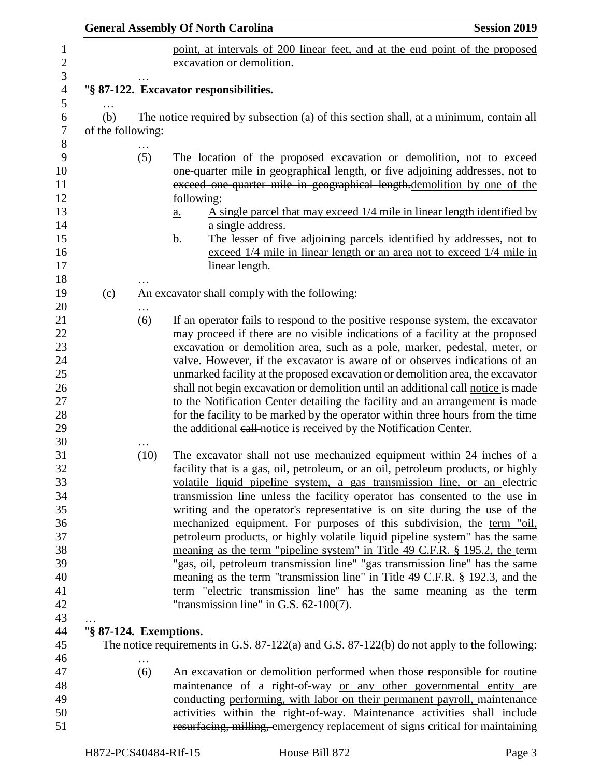|                               |          | <b>General Assembly Of North Carolina</b><br><b>Session 2019</b>                                                                                                                                                                                                                                                                                                                                                                                                                                                                                                                                                                                                                                                                                                                                                                                                                                                            |  |  |  |
|-------------------------------|----------|-----------------------------------------------------------------------------------------------------------------------------------------------------------------------------------------------------------------------------------------------------------------------------------------------------------------------------------------------------------------------------------------------------------------------------------------------------------------------------------------------------------------------------------------------------------------------------------------------------------------------------------------------------------------------------------------------------------------------------------------------------------------------------------------------------------------------------------------------------------------------------------------------------------------------------|--|--|--|
|                               |          | point, at intervals of 200 linear feet, and at the end point of the proposed<br>excavation or demolition.                                                                                                                                                                                                                                                                                                                                                                                                                                                                                                                                                                                                                                                                                                                                                                                                                   |  |  |  |
|                               |          | "§ 87-122. Excavator responsibilities.                                                                                                                                                                                                                                                                                                                                                                                                                                                                                                                                                                                                                                                                                                                                                                                                                                                                                      |  |  |  |
| .<br>(b)<br>of the following: |          | The notice required by subsection (a) of this section shall, at a minimum, contain all                                                                                                                                                                                                                                                                                                                                                                                                                                                                                                                                                                                                                                                                                                                                                                                                                                      |  |  |  |
|                               | (5)      | The location of the proposed excavation or demolition, not to exceed<br>one-quarter mile in geographical length, or five adjoining addresses, not to<br>exceed one quarter mile in geographical length.demolition by one of the<br>following:<br>A single parcel that may exceed $1/4$ mile in linear length identified by<br>a.<br>a single address.                                                                                                                                                                                                                                                                                                                                                                                                                                                                                                                                                                       |  |  |  |
|                               |          | The lesser of five adjoining parcels identified by addresses, not to<br><u>b.</u><br>exceed 1/4 mile in linear length or an area not to exceed 1/4 mile in<br>linear length.                                                                                                                                                                                                                                                                                                                                                                                                                                                                                                                                                                                                                                                                                                                                                |  |  |  |
| (c)                           |          | An excavator shall comply with the following:                                                                                                                                                                                                                                                                                                                                                                                                                                                                                                                                                                                                                                                                                                                                                                                                                                                                               |  |  |  |
|                               | .<br>(6) | If an operator fails to respond to the positive response system, the excavator<br>may proceed if there are no visible indications of a facility at the proposed<br>excavation or demolition area, such as a pole, marker, pedestal, meter, or<br>valve. However, if the excavator is aware of or observes indications of an<br>unmarked facility at the proposed excavation or demolition area, the excavator<br>shall not begin excavation or demolition until an additional eall-notice is made<br>to the Notification Center detailing the facility and an arrangement is made<br>for the facility to be marked by the operator within three hours from the time<br>the additional eall notice is received by the Notification Center.                                                                                                                                                                                   |  |  |  |
|                               | (10)     | The excavator shall not use mechanized equipment within 24 inches of a<br>facility that is a gas, oil, petroleum, or an oil, petroleum products, or highly<br>volatile liquid pipeline system, a gas transmission line, or an electric<br>transmission line unless the facility operator has consented to the use in<br>writing and the operator's representative is on site during the use of the<br>mechanized equipment. For purposes of this subdivision, the term "oil,<br>petroleum products, or highly volatile liquid pipeline system" has the same<br>meaning as the term "pipeline system" in Title 49 C.F.R. § 195.2, the term<br>"gas, oil, petroleum transmission line" "gas transmission line" has the same<br>meaning as the term "transmission line" in Title 49 C.F.R. § 192.3, and the<br>term "electric transmission line" has the same meaning as the term<br>"transmission line" in G.S. $62-100(7)$ . |  |  |  |
| "§ 87-124. Exemptions.        |          |                                                                                                                                                                                                                                                                                                                                                                                                                                                                                                                                                                                                                                                                                                                                                                                                                                                                                                                             |  |  |  |
|                               |          | The notice requirements in G.S. $87-122(a)$ and G.S. $87-122(b)$ do not apply to the following:                                                                                                                                                                                                                                                                                                                                                                                                                                                                                                                                                                                                                                                                                                                                                                                                                             |  |  |  |
|                               | (6)      | An excavation or demolition performed when those responsible for routine                                                                                                                                                                                                                                                                                                                                                                                                                                                                                                                                                                                                                                                                                                                                                                                                                                                    |  |  |  |
|                               |          | maintenance of a right-of-way or any other governmental entity are<br>conducting performing, with labor on their permanent payroll, maintenance                                                                                                                                                                                                                                                                                                                                                                                                                                                                                                                                                                                                                                                                                                                                                                             |  |  |  |
|                               |          | activities within the right-of-way. Maintenance activities shall include<br>resurfacing, milling, emergency replacement of signs critical for maintaining                                                                                                                                                                                                                                                                                                                                                                                                                                                                                                                                                                                                                                                                                                                                                                   |  |  |  |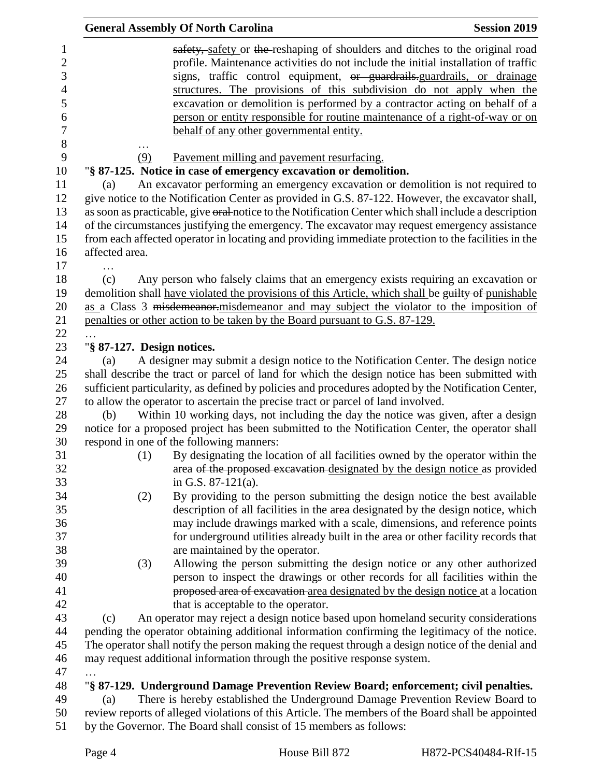|                                                                                   |                            |     | <b>General Assembly Of North Carolina</b>                                                                                                                                               | <b>Session 2019</b>                                                                                                                                                                                                                                                                                                                                                                                                                                                                   |
|-----------------------------------------------------------------------------------|----------------------------|-----|-----------------------------------------------------------------------------------------------------------------------------------------------------------------------------------------|---------------------------------------------------------------------------------------------------------------------------------------------------------------------------------------------------------------------------------------------------------------------------------------------------------------------------------------------------------------------------------------------------------------------------------------------------------------------------------------|
| 1<br>$\overline{2}$<br>3<br>$\overline{4}$<br>5<br>6<br>$\boldsymbol{7}$<br>$8\,$ |                            |     | behalf of any other governmental entity.                                                                                                                                                | safety, safety or the reshaping of shoulders and ditches to the original road<br>profile. Maintenance activities do not include the initial installation of traffic<br>signs, traffic control equipment, or guardrails-guardrails, or drainage<br>structures. The provisions of this subdivision do not apply when the<br>excavation or demolition is performed by a contractor acting on behalf of a<br>person or entity responsible for routine maintenance of a right-of-way or on |
| 9                                                                                 |                            | (9) | Pavement milling and pavement resurfacing.                                                                                                                                              |                                                                                                                                                                                                                                                                                                                                                                                                                                                                                       |
| 10                                                                                |                            |     | "§ 87-125. Notice in case of emergency excavation or demolition.                                                                                                                        |                                                                                                                                                                                                                                                                                                                                                                                                                                                                                       |
| 11<br>12                                                                          | (a)                        |     | An excavator performing an emergency excavation or demolition is not required to<br>give notice to the Notification Center as provided in G.S. 87-122. However, the excavator shall,    |                                                                                                                                                                                                                                                                                                                                                                                                                                                                                       |
| 13                                                                                |                            |     | as soon as practicable, give oral-notice to the Notification Center which shall include a description                                                                                   |                                                                                                                                                                                                                                                                                                                                                                                                                                                                                       |
| 14                                                                                |                            |     | of the circumstances justifying the emergency. The excavator may request emergency assistance                                                                                           |                                                                                                                                                                                                                                                                                                                                                                                                                                                                                       |
| 15                                                                                |                            |     | from each affected operator in locating and providing immediate protection to the facilities in the                                                                                     |                                                                                                                                                                                                                                                                                                                                                                                                                                                                                       |
| 16                                                                                | affected area.             |     |                                                                                                                                                                                         |                                                                                                                                                                                                                                                                                                                                                                                                                                                                                       |
| 17                                                                                |                            |     |                                                                                                                                                                                         |                                                                                                                                                                                                                                                                                                                                                                                                                                                                                       |
| 18                                                                                | (c)                        |     | Any person who falsely claims that an emergency exists requiring an excavation or                                                                                                       |                                                                                                                                                                                                                                                                                                                                                                                                                                                                                       |
| 19                                                                                |                            |     | demolition shall have violated the provisions of this Article, which shall be guilty of punishable                                                                                      |                                                                                                                                                                                                                                                                                                                                                                                                                                                                                       |
| 20                                                                                |                            |     | as a Class 3 misdemeanor misdemeanor and may subject the violator to the imposition of                                                                                                  |                                                                                                                                                                                                                                                                                                                                                                                                                                                                                       |
| 21                                                                                |                            |     | penalties or other action to be taken by the Board pursuant to G.S. 87-129.                                                                                                             |                                                                                                                                                                                                                                                                                                                                                                                                                                                                                       |
| 22                                                                                |                            |     |                                                                                                                                                                                         |                                                                                                                                                                                                                                                                                                                                                                                                                                                                                       |
| 23                                                                                | "§ 87-127. Design notices. |     |                                                                                                                                                                                         |                                                                                                                                                                                                                                                                                                                                                                                                                                                                                       |
| 24                                                                                | (a)                        |     | A designer may submit a design notice to the Notification Center. The design notice                                                                                                     |                                                                                                                                                                                                                                                                                                                                                                                                                                                                                       |
| 25                                                                                |                            |     | shall describe the tract or parcel of land for which the design notice has been submitted with                                                                                          |                                                                                                                                                                                                                                                                                                                                                                                                                                                                                       |
| 26<br>27                                                                          |                            |     | sufficient particularity, as defined by policies and procedures adopted by the Notification Center,<br>to allow the operator to ascertain the precise tract or parcel of land involved. |                                                                                                                                                                                                                                                                                                                                                                                                                                                                                       |
| 28                                                                                | (b)                        |     | Within 10 working days, not including the day the notice was given, after a design                                                                                                      |                                                                                                                                                                                                                                                                                                                                                                                                                                                                                       |
| 29                                                                                |                            |     | notice for a proposed project has been submitted to the Notification Center, the operator shall                                                                                         |                                                                                                                                                                                                                                                                                                                                                                                                                                                                                       |
| 30                                                                                |                            |     | respond in one of the following manners:                                                                                                                                                |                                                                                                                                                                                                                                                                                                                                                                                                                                                                                       |
| 31                                                                                |                            | (1) |                                                                                                                                                                                         | By designating the location of all facilities owned by the operator within the                                                                                                                                                                                                                                                                                                                                                                                                        |
| 32<br>33                                                                          |                            |     | in G.S. $87-121(a)$ .                                                                                                                                                                   | area of the proposed excavation designated by the design notice as provided                                                                                                                                                                                                                                                                                                                                                                                                           |
| 34                                                                                |                            | (2) |                                                                                                                                                                                         | By providing to the person submitting the design notice the best available                                                                                                                                                                                                                                                                                                                                                                                                            |
|                                                                                   |                            |     |                                                                                                                                                                                         | description of all facilities in the area designated by the design notice, which                                                                                                                                                                                                                                                                                                                                                                                                      |
|                                                                                   |                            |     |                                                                                                                                                                                         | may include drawings marked with a scale, dimensions, and reference points                                                                                                                                                                                                                                                                                                                                                                                                            |
|                                                                                   |                            |     |                                                                                                                                                                                         | for underground utilities already built in the area or other facility records that                                                                                                                                                                                                                                                                                                                                                                                                    |
|                                                                                   |                            |     | are maintained by the operator.                                                                                                                                                         |                                                                                                                                                                                                                                                                                                                                                                                                                                                                                       |
|                                                                                   |                            | (3) |                                                                                                                                                                                         | Allowing the person submitting the design notice or any other authorized                                                                                                                                                                                                                                                                                                                                                                                                              |
|                                                                                   |                            |     |                                                                                                                                                                                         | person to inspect the drawings or other records for all facilities within the                                                                                                                                                                                                                                                                                                                                                                                                         |
|                                                                                   |                            |     |                                                                                                                                                                                         | proposed area of excavation-area designated by the design notice at a location                                                                                                                                                                                                                                                                                                                                                                                                        |
|                                                                                   |                            |     | that is acceptable to the operator.                                                                                                                                                     |                                                                                                                                                                                                                                                                                                                                                                                                                                                                                       |
|                                                                                   | (c)                        |     | An operator may reject a design notice based upon homeland security considerations                                                                                                      |                                                                                                                                                                                                                                                                                                                                                                                                                                                                                       |
|                                                                                   |                            |     | pending the operator obtaining additional information confirming the legitimacy of the notice.                                                                                          |                                                                                                                                                                                                                                                                                                                                                                                                                                                                                       |
|                                                                                   |                            |     | The operator shall notify the person making the request through a design notice of the denial and                                                                                       |                                                                                                                                                                                                                                                                                                                                                                                                                                                                                       |
|                                                                                   |                            |     | may request additional information through the positive response system.                                                                                                                |                                                                                                                                                                                                                                                                                                                                                                                                                                                                                       |
|                                                                                   |                            |     |                                                                                                                                                                                         |                                                                                                                                                                                                                                                                                                                                                                                                                                                                                       |
|                                                                                   |                            |     | "§ 87-129. Underground Damage Prevention Review Board; enforcement; civil penalties.                                                                                                    |                                                                                                                                                                                                                                                                                                                                                                                                                                                                                       |
|                                                                                   | (a)                        |     | There is hereby established the Underground Damage Prevention Review Board to<br>review reports of alleged violations of this Article. The members of the Board shall be appointed      |                                                                                                                                                                                                                                                                                                                                                                                                                                                                                       |
|                                                                                   |                            |     | by the Governor. The Board shall consist of 15 members as follows:                                                                                                                      |                                                                                                                                                                                                                                                                                                                                                                                                                                                                                       |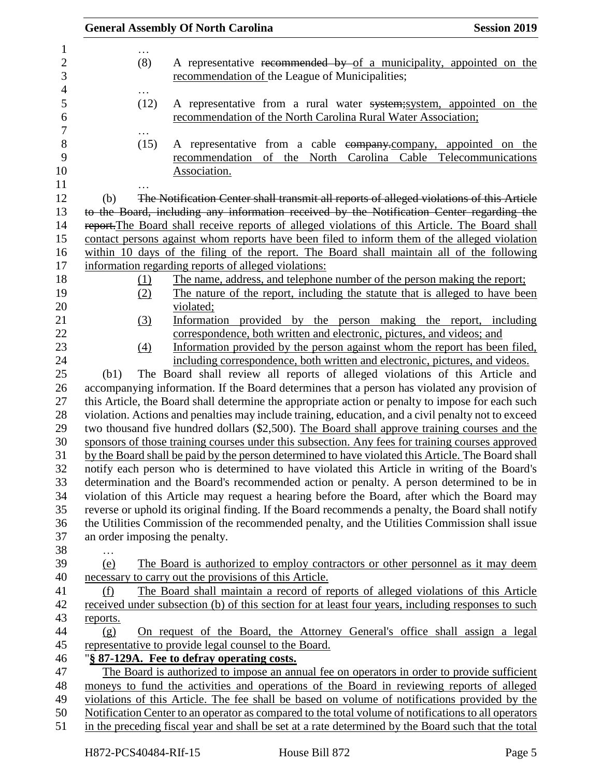|          |                   | <b>General Assembly Of North Carolina</b>                                                                                                        | <b>Session 2019</b> |
|----------|-------------------|--------------------------------------------------------------------------------------------------------------------------------------------------|---------------------|
|          | (8)               | A representative recommended by of a municipality, appointed on the<br>recommendation of the League of Municipalities;                           |                     |
|          | .<br>(12)         | A representative from a rural water system; system, appointed on the<br>recommendation of the North Carolina Rural Water Association;            |                     |
|          | (15)              | A representative from a cable eompany.company, appointed on the<br>recommendation of the North Carolina Cable Telecommunications<br>Association. |                     |
| (b)      |                   | The Notification Center shall transmit all reports of alleged violations of this Article                                                         |                     |
|          |                   | to the Board, including any information received by the Notification Center regarding the                                                        |                     |
|          |                   | report. The Board shall receive reports of alleged violations of this Article. The Board shall                                                   |                     |
|          |                   | contact persons against whom reports have been filed to inform them of the alleged violation                                                     |                     |
|          |                   | within 10 days of the filing of the report. The Board shall maintain all of the following                                                        |                     |
|          |                   | information regarding reports of alleged violations:                                                                                             |                     |
|          | (1)               | The name, address, and telephone number of the person making the report;                                                                         |                     |
|          | (2)               | The nature of the report, including the statute that is alleged to have been                                                                     |                     |
|          |                   | violated;                                                                                                                                        |                     |
|          | (3)               | Information provided by the person making the report, including                                                                                  |                     |
|          |                   | correspondence, both written and electronic, pictures, and videos; and                                                                           |                     |
|          | $\underline{(4)}$ | Information provided by the person against whom the report has been filed.                                                                       |                     |
|          |                   | including correspondence, both written and electronic, pictures, and videos.                                                                     |                     |
| (b1)     |                   | The Board shall review all reports of alleged violations of this Article and                                                                     |                     |
|          |                   | accompanying information. If the Board determines that a person has violated any provision of                                                    |                     |
|          |                   | this Article, the Board shall determine the appropriate action or penalty to impose for each such                                                |                     |
|          |                   | violation. Actions and penalties may include training, education, and a civil penalty not to exceed                                              |                     |
|          |                   | two thousand five hundred dollars (\$2,500). The Board shall approve training courses and the                                                    |                     |
|          |                   | sponsors of those training courses under this subsection. Any fees for training courses approved                                                 |                     |
|          |                   | by the Board shall be paid by the person determined to have violated this Article. The Board shall                                               |                     |
|          |                   | notify each person who is determined to have violated this Article in writing of the Board's                                                     |                     |
|          |                   | determination and the Board's recommended action or penalty. A person determined to be in                                                        |                     |
|          |                   | violation of this Article may request a hearing before the Board, after which the Board may                                                      |                     |
|          |                   | reverse or uphold its original finding. If the Board recommends a penalty, the Board shall notify                                                |                     |
|          |                   | the Utilities Commission of the recommended penalty, and the Utilities Commission shall issue                                                    |                     |
|          |                   | an order imposing the penalty.                                                                                                                   |                     |
|          |                   |                                                                                                                                                  |                     |
| (e)      |                   | The Board is authorized to employ contractors or other personnel as it may deem<br>necessary to carry out the provisions of this Article.        |                     |
| (f)      |                   | The Board shall maintain a record of reports of alleged violations of this Article                                                               |                     |
|          |                   | received under subsection (b) of this section for at least four years, including responses to such                                               |                     |
| reports. |                   |                                                                                                                                                  |                     |
| (g)      |                   | <u>On request of the Board, the Attorney General's office shall assign a legal</u>                                                               |                     |
|          |                   | representative to provide legal counsel to the Board.                                                                                            |                     |
|          |                   | "§ 87-129A. Fee to defray operating costs.                                                                                                       |                     |
|          |                   | The Board is authorized to impose an annual fee on operators in order to provide sufficient                                                      |                     |
|          |                   | moneys to fund the activities and operations of the Board in reviewing reports of alleged                                                        |                     |
|          |                   | violations of this Article. The fee shall be based on volume of notifications provided by the                                                    |                     |
|          |                   | Notification Center to an operator as compared to the total volume of notifications to all operators                                             |                     |
|          |                   | in the preceding fiscal year and shall be set at a rate determined by the Board such that the total                                              |                     |